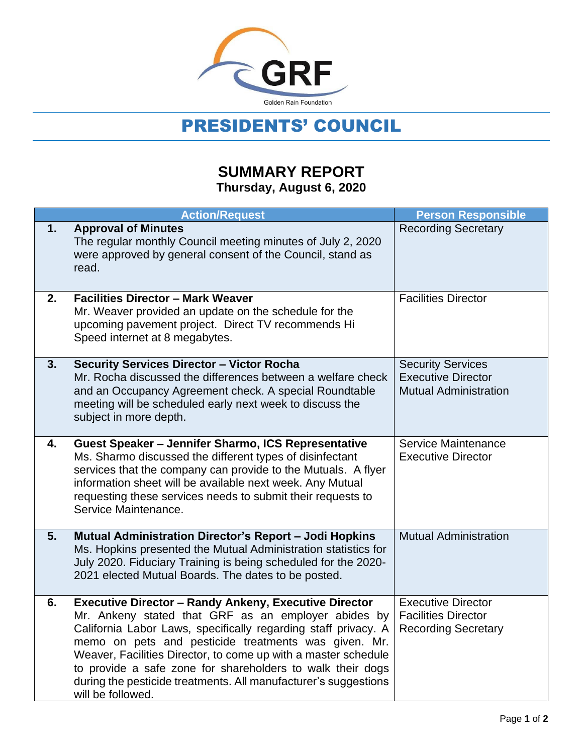

## PRESIDENTS' COUNCIL

## **SUMMARY REPORT Thursday, August 6, 2020**

|    | <b>Action/Request</b>                                                                                                                                                                                                                                                                                                                                                                                                                                                 | <b>Person Responsible</b>                                                             |
|----|-----------------------------------------------------------------------------------------------------------------------------------------------------------------------------------------------------------------------------------------------------------------------------------------------------------------------------------------------------------------------------------------------------------------------------------------------------------------------|---------------------------------------------------------------------------------------|
| 1. | <b>Approval of Minutes</b><br>The regular monthly Council meeting minutes of July 2, 2020<br>were approved by general consent of the Council, stand as<br>read.                                                                                                                                                                                                                                                                                                       | <b>Recording Secretary</b>                                                            |
| 2. | <b>Facilities Director - Mark Weaver</b><br>Mr. Weaver provided an update on the schedule for the<br>upcoming pavement project. Direct TV recommends Hi<br>Speed internet at 8 megabytes.                                                                                                                                                                                                                                                                             | <b>Facilities Director</b>                                                            |
| 3. | <b>Security Services Director - Victor Rocha</b><br>Mr. Rocha discussed the differences between a welfare check<br>and an Occupancy Agreement check. A special Roundtable<br>meeting will be scheduled early next week to discuss the<br>subject in more depth.                                                                                                                                                                                                       | <b>Security Services</b><br><b>Executive Director</b><br><b>Mutual Administration</b> |
| 4. | Guest Speaker - Jennifer Sharmo, ICS Representative<br>Ms. Sharmo discussed the different types of disinfectant<br>services that the company can provide to the Mutuals. A flyer<br>information sheet will be available next week. Any Mutual<br>requesting these services needs to submit their requests to<br>Service Maintenance.                                                                                                                                  | Service Maintenance<br><b>Executive Director</b>                                      |
| 5. | Mutual Administration Director's Report - Jodi Hopkins<br>Ms. Hopkins presented the Mutual Administration statistics for<br>July 2020. Fiduciary Training is being scheduled for the 2020-<br>2021 elected Mutual Boards. The dates to be posted.                                                                                                                                                                                                                     | <b>Mutual Administration</b>                                                          |
| 6. | <b>Executive Director - Randy Ankeny, Executive Director</b><br>Mr. Ankeny stated that GRF as an employer abides by<br>California Labor Laws, specifically regarding staff privacy. A<br>memo on pets and pesticide treatments was given. Mr.<br>Weaver, Facilities Director, to come up with a master schedule<br>to provide a safe zone for shareholders to walk their dogs<br>during the pesticide treatments. All manufacturer's suggestions<br>will be followed. | <b>Executive Director</b><br><b>Facilities Director</b><br><b>Recording Secretary</b> |